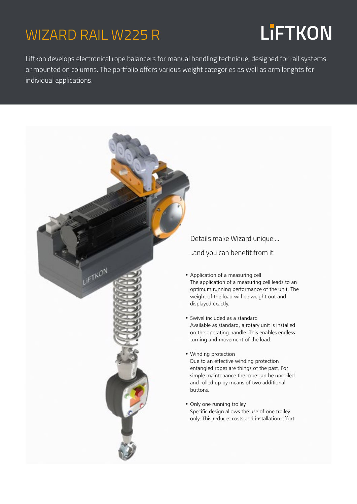### WIZARD RAIL W225 R

# **LiFTKON**

Liftkon develops electronical rope balancers for manual handling technique, designed for rail systems or mounted on columns. The portfolio offers various weight categories as well as arm lenghts for individual applications.



Details make Wizard unique ...

..and you can benefit from it

- Application of a measuring cell The application of a measuring cell leads to an optimum running performance of the unit. The weight of the load will be weight out and displayed exactly.
- Swivel included as a standard Available as standard, a rotary unit is installed on the operating handle. This enables endless turning and movement of the load.
- Winding protection Due to an effective winding protection entangled ropes are things of the past. For simple maintenance the rope can be uncoiled and rolled up by means of two additional buttons.
- Only one running trolley Specific design allows the use of one trolley only. This reduces costs and installation effort.